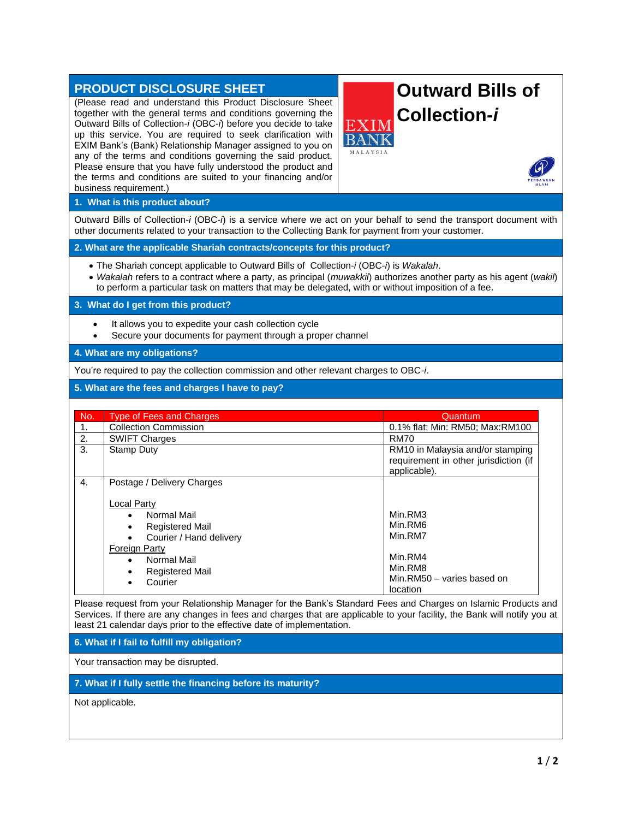| <b>PRODUCT DISCLOSURE SHEET</b><br>(Please read and understand this Product Disclosure Sheet                                                                                                                                                                                                                                 | <b>Outward Bills of</b>                               |  |
|------------------------------------------------------------------------------------------------------------------------------------------------------------------------------------------------------------------------------------------------------------------------------------------------------------------------------|-------------------------------------------------------|--|
| together with the general terms and conditions governing the<br>Outward Bills of Collection-i (OBC-i) before you decide to take<br>up this service. You are required to seek clarification with<br>EXIM Bank's (Bank) Relationship Manager assigned to you on<br>any of the terms and conditions governing the said product. | <b>Collection-i</b><br>EXI<br>MALAYSIA                |  |
| Please ensure that you have fully understood the product and<br>the terms and conditions are suited to your financing and/or<br>business requirement.)                                                                                                                                                                       |                                                       |  |
| 1. What is this product about?                                                                                                                                                                                                                                                                                               |                                                       |  |
| Outward Bills of Collection-i (OBC-i) is a service where we act on your behalf to send the transport document with<br>other documents related to your transaction to the Collecting Bank for payment from your customer.                                                                                                     |                                                       |  |
| 2. What are the applicable Shariah contracts/concepts for this product?                                                                                                                                                                                                                                                      |                                                       |  |
| • The Shariah concept applicable to Outward Bills of Collection-i (OBC-i) is Wakalah.<br>• Wakalah refers to a contract where a party, as principal (muwakkil) authorizes another party as his agent (wakil)<br>to perform a particular task on matters that may be delegated, with or without imposition of a fee.          |                                                       |  |
| 3. What do I get from this product?                                                                                                                                                                                                                                                                                          |                                                       |  |
| It allows you to expedite your cash collection cycle<br>Secure your documents for payment through a proper channel<br>$\bullet$                                                                                                                                                                                              |                                                       |  |
| 4. What are my obligations?                                                                                                                                                                                                                                                                                                  |                                                       |  |
| You're required to pay the collection commission and other relevant charges to OBC-i.                                                                                                                                                                                                                                        |                                                       |  |
| 5. What are the fees and charges I have to pay?                                                                                                                                                                                                                                                                              |                                                       |  |
|                                                                                                                                                                                                                                                                                                                              |                                                       |  |
| <b>Type of Fees and Charges</b><br>No.                                                                                                                                                                                                                                                                                       | Quantum                                               |  |
| <b>Collection Commission</b><br>1.<br><b>SWIFT Charges</b><br>2.                                                                                                                                                                                                                                                             | 0.1% flat; Min: RM50; Max:RM100<br><b>RM70</b>        |  |
| 3.<br><b>Stamp Duty</b>                                                                                                                                                                                                                                                                                                      | RM10 in Malaysia and/or stamping                      |  |
|                                                                                                                                                                                                                                                                                                                              | requirement in other jurisdiction (if<br>applicable). |  |
| Postage / Delivery Charges<br>4.                                                                                                                                                                                                                                                                                             |                                                       |  |
| <b>Local Party</b>                                                                                                                                                                                                                                                                                                           |                                                       |  |
| <b>Normal Mail</b>                                                                                                                                                                                                                                                                                                           | Min.RM3                                               |  |
| <b>Registered Mail</b>                                                                                                                                                                                                                                                                                                       | Min.RM6<br>Min.RM7                                    |  |
| Courier / Hand delivery<br><b>Foreign Party</b>                                                                                                                                                                                                                                                                              |                                                       |  |
| Normal Mail                                                                                                                                                                                                                                                                                                                  | Min.RM4                                               |  |
| <b>Registered Mail</b>                                                                                                                                                                                                                                                                                                       | Min.RM8                                               |  |
| Courier                                                                                                                                                                                                                                                                                                                      | Min.RM50 - varies based on<br>location                |  |
| Please request from your Relationship Manager for the Bank's Standard Fees and Charges on Islamic Products and<br>Services. If there are any changes in fees and charges that are applicable to your facility, the Bank will notify you at<br>least 21 calendar days prior to the effective date of implementation.          |                                                       |  |
| 6. What if I fail to fulfill my obligation?                                                                                                                                                                                                                                                                                  |                                                       |  |
| Your transaction may be disrupted.                                                                                                                                                                                                                                                                                           |                                                       |  |
| 7. What if I fully settle the financing before its maturity?                                                                                                                                                                                                                                                                 |                                                       |  |

Not applicable.